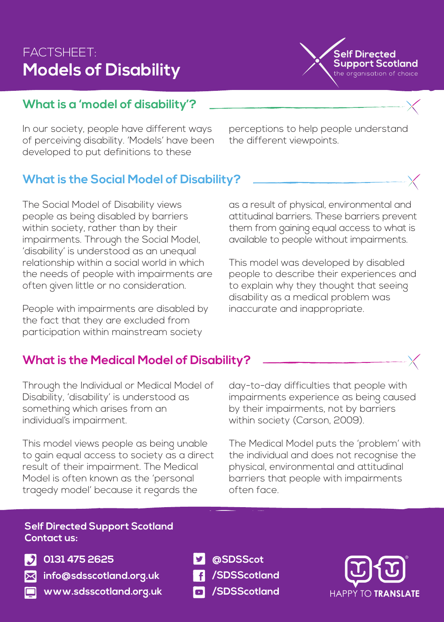# FACTSHEET: **Models of Disability**



## **What is a 'model of disability'?**

In our society, people have different ways of perceiving disability. 'Models' have been developed to put definitions to these

perceptions to help people understand the different viewpoints.

# **What is the Social Model of Disability?**

The Social Model of Disability views people as being disabled by barriers within society, rather than by their impairments. Through the Social Model, 'disability' is understood as an unequal relationship within a social world in which the needs of people with impairments are often given little or no consideration.

People with impairments are disabled by the fact that they are excluded from participation within mainstream society

as a result of physical, environmental and attitudinal barriers. These barriers prevent them from gaining equal access to what is available to people without impairments.

This model was developed by disabled people to describe their experiences and to explain why they thought that seeing disability as a medical problem was inaccurate and inappropriate.

### **What is the Medical Model of Disability?**

Through the Individual or Medical Model of Disability, 'disability' is understood as something which arises from an individual's impairment.

This model views people as being unable to gain equal access to society as a direct result of their impairment. The Medical Model is often known as the 'personal tragedy model' because it regards the

day-to-day difficulties that people with impairments experience as being caused by their impairments, not by barriers within society (Carson, 2009).

The Medical Model puts the 'problem' with the individual and does not recognise the physical, environmental and attitudinal barriers that people with impairments often face.

#### **Self Directed Support Scotland Contact us:**



**0131 475 2625**

**info@sdsscotland.org.uk**

- **www.sdsscotland.org.uk**
- **@SDSScot**
- **/SDSScotland**
- **/SDSScotland**